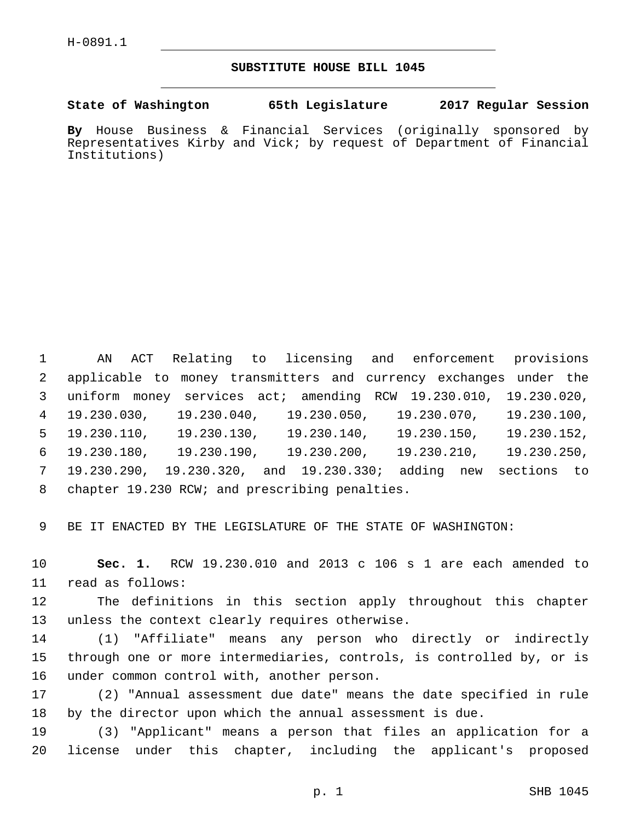## **SUBSTITUTE HOUSE BILL 1045**

**State of Washington 65th Legislature 2017 Regular Session**

**By** House Business & Financial Services (originally sponsored by Representatives Kirby and Vick; by request of Department of Financial Institutions)

 AN ACT Relating to licensing and enforcement provisions applicable to money transmitters and currency exchanges under the uniform money services act; amending RCW 19.230.010, 19.230.020, 19.230.030, 19.230.040, 19.230.050, 19.230.070, 19.230.100, 19.230.110, 19.230.130, 19.230.140, 19.230.150, 19.230.152, 19.230.180, 19.230.190, 19.230.200, 19.230.210, 19.230.250, 19.230.290, 19.230.320, and 19.230.330; adding new sections to 8 chapter 19.230 RCW; and prescribing penalties.

9 BE IT ENACTED BY THE LEGISLATURE OF THE STATE OF WASHINGTON:

10 **Sec. 1.** RCW 19.230.010 and 2013 c 106 s 1 are each amended to 11 read as follows:

12 The definitions in this section apply throughout this chapter 13 unless the context clearly requires otherwise.

14 (1) "Affiliate" means any person who directly or indirectly 15 through one or more intermediaries, controls, is controlled by, or is 16 under common control with, another person.

17 (2) "Annual assessment due date" means the date specified in rule 18 by the director upon which the annual assessment is due.

19 (3) "Applicant" means a person that files an application for a 20 license under this chapter, including the applicant's proposed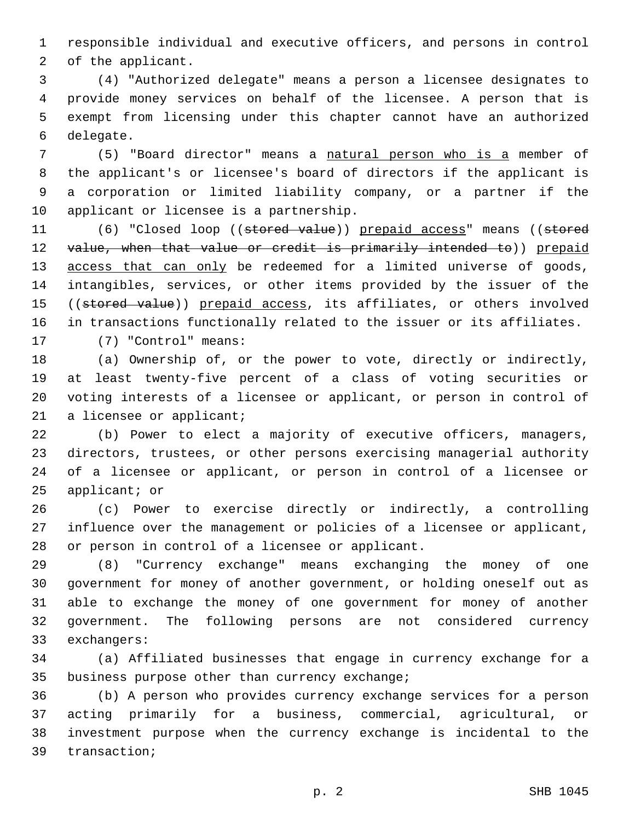responsible individual and executive officers, and persons in control 2 of the applicant.

 (4) "Authorized delegate" means a person a licensee designates to provide money services on behalf of the licensee. A person that is exempt from licensing under this chapter cannot have an authorized 6 delegate.

 (5) "Board director" means a natural person who is a member of the applicant's or licensee's board of directors if the applicant is a corporation or limited liability company, or a partner if the 10 applicant or licensee is a partnership.

11 (6) "Closed loop ((stored value)) prepaid access" means ((stored 12 value, when that value or credit is primarily intended to)) prepaid 13 access that can only be redeemed for a limited universe of goods, intangibles, services, or other items provided by the issuer of the 15 ((stored value)) prepaid access, its affiliates, or others involved in transactions functionally related to the issuer or its affiliates. 17 (7) "Control" means:

 (a) Ownership of, or the power to vote, directly or indirectly, at least twenty-five percent of a class of voting securities or voting interests of a licensee or applicant, or person in control of 21 a licensee or applicant;

 (b) Power to elect a majority of executive officers, managers, directors, trustees, or other persons exercising managerial authority of a licensee or applicant, or person in control of a licensee or applicant; or

 (c) Power to exercise directly or indirectly, a controlling influence over the management or policies of a licensee or applicant, 28 or person in control of a licensee or applicant.

 (8) "Currency exchange" means exchanging the money of one government for money of another government, or holding oneself out as able to exchange the money of one government for money of another government. The following persons are not considered currency 33 exchangers:

 (a) Affiliated businesses that engage in currency exchange for a 35 business purpose other than currency exchange;

 (b) A person who provides currency exchange services for a person acting primarily for a business, commercial, agricultural, or investment purpose when the currency exchange is incidental to the 39 transaction;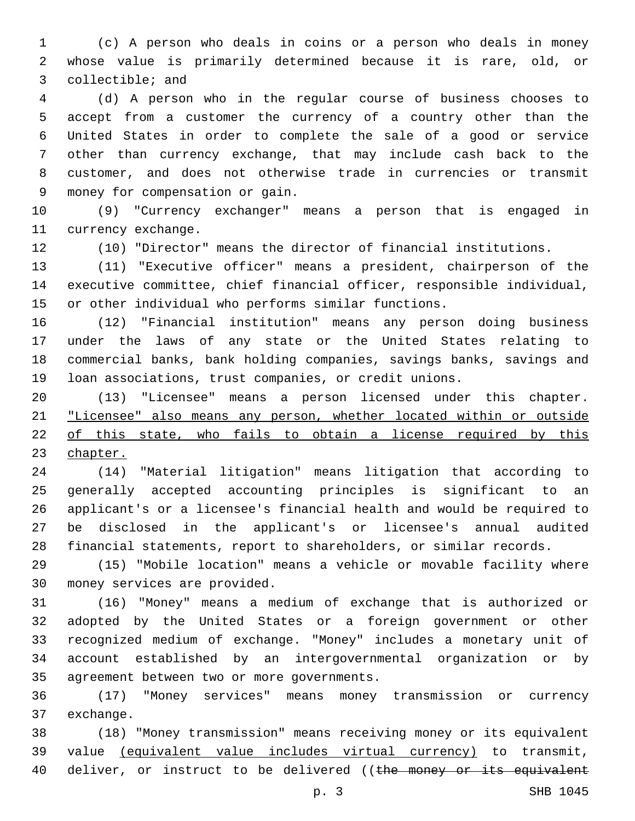(c) A person who deals in coins or a person who deals in money whose value is primarily determined because it is rare, old, or 3 collectible; and

 (d) A person who in the regular course of business chooses to accept from a customer the currency of a country other than the United States in order to complete the sale of a good or service other than currency exchange, that may include cash back to the customer, and does not otherwise trade in currencies or transmit money for compensation or gain.9

 (9) "Currency exchanger" means a person that is engaged in 11 currency exchange.

(10) "Director" means the director of financial institutions.

 (11) "Executive officer" means a president, chairperson of the executive committee, chief financial officer, responsible individual, or other individual who performs similar functions.

 (12) "Financial institution" means any person doing business under the laws of any state or the United States relating to commercial banks, bank holding companies, savings banks, savings and loan associations, trust companies, or credit unions.

 (13) "Licensee" means a person licensed under this chapter. "Licensee" also means any person, whether located within or outside of this state, who fails to obtain a license required by this chapter.

 (14) "Material litigation" means litigation that according to generally accepted accounting principles is significant to an applicant's or a licensee's financial health and would be required to be disclosed in the applicant's or licensee's annual audited financial statements, report to shareholders, or similar records.

 (15) "Mobile location" means a vehicle or movable facility where 30 money services are provided.

 (16) "Money" means a medium of exchange that is authorized or adopted by the United States or a foreign government or other recognized medium of exchange. "Money" includes a monetary unit of account established by an intergovernmental organization or by 35 agreement between two or more governments.

 (17) "Money services" means money transmission or currency 37 exchange.

 (18) "Money transmission" means receiving money or its equivalent value (equivalent value includes virtual currency) to transmit, 40 deliver, or instruct to be delivered ((the money or its equivalent

p. 3 SHB 1045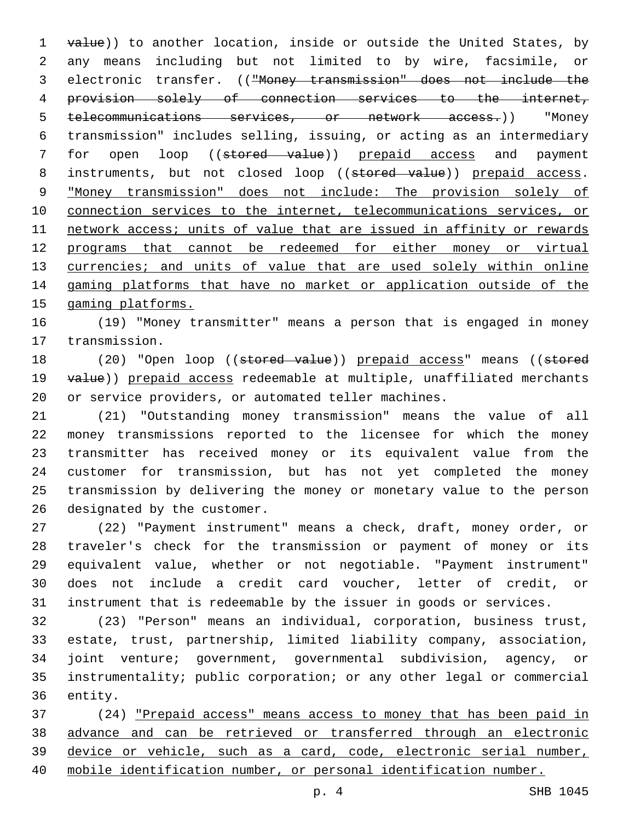1 value)) to another location, inside or outside the United States, by any means including but not limited to by wire, facsimile, or electronic transfer. (("Money transmission" does not include the provision solely of connection services to the internet, telecommunications services, or network access.)) "Money transmission" includes selling, issuing, or acting as an intermediary 7 for open loop ((stored value)) prepaid access and payment 8 instruments, but not closed loop ((stored value)) prepaid access. "Money transmission" does not include: The provision solely of connection services to the internet, telecommunications services, or network access; units of value that are issued in affinity or rewards programs that cannot be redeemed for either money or virtual 13 currencies; and units of value that are used solely within online gaming platforms that have no market or application outside of the gaming platforms.

 (19) "Money transmitter" means a person that is engaged in money 17 transmission.

18 (20) "Open loop ((stored value)) prepaid access" means ((stored 19 value)) prepaid access redeemable at multiple, unaffiliated merchants or service providers, or automated teller machines.

 (21) "Outstanding money transmission" means the value of all money transmissions reported to the licensee for which the money transmitter has received money or its equivalent value from the customer for transmission, but has not yet completed the money transmission by delivering the money or monetary value to the person 26 designated by the customer.

 (22) "Payment instrument" means a check, draft, money order, or traveler's check for the transmission or payment of money or its equivalent value, whether or not negotiable. "Payment instrument" does not include a credit card voucher, letter of credit, or instrument that is redeemable by the issuer in goods or services.

 (23) "Person" means an individual, corporation, business trust, estate, trust, partnership, limited liability company, association, joint venture; government, governmental subdivision, agency, or instrumentality; public corporation; or any other legal or commercial 36 entity.

 (24) "Prepaid access" means access to money that has been paid in advance and can be retrieved or transferred through an electronic device or vehicle, such as a card, code, electronic serial number, mobile identification number, or personal identification number.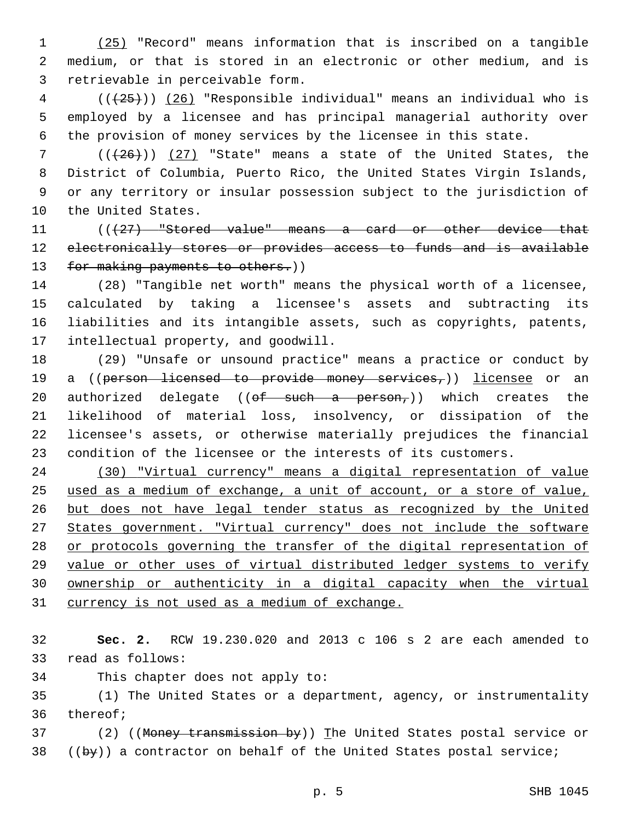(25) "Record" means information that is inscribed on a tangible medium, or that is stored in an electronic or other medium, and is 3 retrievable in perceivable form.

 ( $(\overline{25})$ ) (26) "Responsible individual" means an individual who is employed by a licensee and has principal managerial authority over the provision of money services by the licensee in this state.

 $((+26))$  (27) "State" means a state of the United States, the District of Columbia, Puerto Rico, the United States Virgin Islands, or any territory or insular possession subject to the jurisdiction of 10 the United States.

11 (((427) "Stored value" means a card or other device that 12 electronically stores or provides access to funds and is available 13 for making payments to others.))

 (28) "Tangible net worth" means the physical worth of a licensee, calculated by taking a licensee's assets and subtracting its liabilities and its intangible assets, such as copyrights, patents, 17 intellectual property, and goodwill.

 (29) "Unsafe or unsound practice" means a practice or conduct by 19 a ((person licensed to provide money services,)) licensee or an 20 authorized delegate (( $\theta f$  such a person,)) which creates the likelihood of material loss, insolvency, or dissipation of the licensee's assets, or otherwise materially prejudices the financial condition of the licensee or the interests of its customers.

 (30) "Virtual currency" means a digital representation of value used as a medium of exchange, a unit of account, or a store of value, but does not have legal tender status as recognized by the United States government. "Virtual currency" does not include the software 28 or protocols governing the transfer of the digital representation of value or other uses of virtual distributed ledger systems to verify ownership or authenticity in a digital capacity when the virtual 31 currency is not used as a medium of exchange.

 **Sec. 2.** RCW 19.230.020 and 2013 c 106 s 2 are each amended to 33 read as follows:

34 This chapter does not apply to:

 (1) The United States or a department, agency, or instrumentality 36 thereof;

37 (2) ((Money transmission by)) The United States postal service or ((by)) a contractor on behalf of the United States postal service;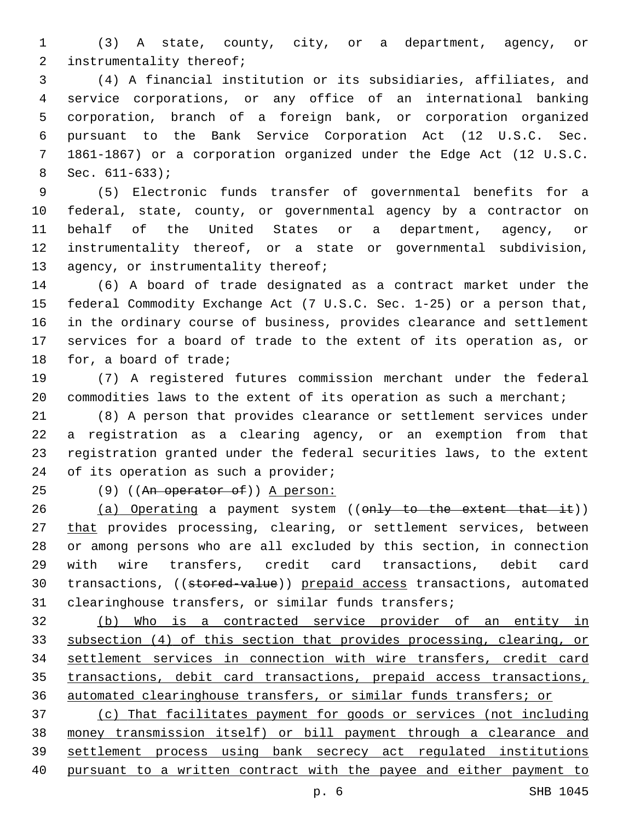(3) A state, county, city, or a department, agency, or 2 instrumentality thereof;

 (4) A financial institution or its subsidiaries, affiliates, and service corporations, or any office of an international banking corporation, branch of a foreign bank, or corporation organized pursuant to the Bank Service Corporation Act (12 U.S.C. Sec. 1861-1867) or a corporation organized under the Edge Act (12 U.S.C. Sec.  $611-633$ ;

 (5) Electronic funds transfer of governmental benefits for a federal, state, county, or governmental agency by a contractor on behalf of the United States or a department, agency, or instrumentality thereof, or a state or governmental subdivision, 13 agency, or instrumentality thereof;

 (6) A board of trade designated as a contract market under the federal Commodity Exchange Act (7 U.S.C. Sec. 1-25) or a person that, in the ordinary course of business, provides clearance and settlement services for a board of trade to the extent of its operation as, or 18 for, a board of trade;

 (7) A registered futures commission merchant under the federal 20 commodities laws to the extent of its operation as such a merchant;

 (8) A person that provides clearance or settlement services under a registration as a clearing agency, or an exemption from that registration granted under the federal securities laws, to the extent 24 of its operation as such a provider;

25 (9) ((An operator of)) A person:

26 (a) Operating a payment system ((only to the extent that it)) 27 that provides processing, clearing, or settlement services, between or among persons who are all excluded by this section, in connection with wire transfers, credit card transactions, debit card 30 transactions, ((stored-value)) prepaid access transactions, automated clearinghouse transfers, or similar funds transfers;

 (b) Who is a contracted service provider of an entity in subsection (4) of this section that provides processing, clearing, or settlement services in connection with wire transfers, credit card transactions, debit card transactions, prepaid access transactions, automated clearinghouse transfers, or similar funds transfers; or

 (c) That facilitates payment for goods or services (not including money transmission itself) or bill payment through a clearance and settlement process using bank secrecy act regulated institutions pursuant to a written contract with the payee and either payment to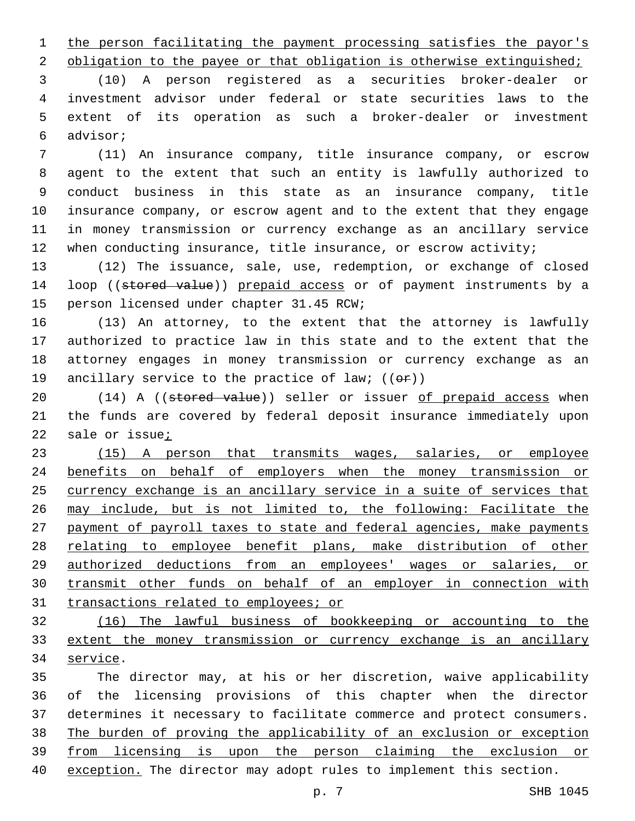1 the person facilitating the payment processing satisfies the payor's

2 obligation to the payee or that obligation is otherwise extinguished;

 (10) A person registered as a securities broker-dealer or investment advisor under federal or state securities laws to the extent of its operation as such a broker-dealer or investment advisor;6

 (11) An insurance company, title insurance company, or escrow agent to the extent that such an entity is lawfully authorized to conduct business in this state as an insurance company, title insurance company, or escrow agent and to the extent that they engage in money transmission or currency exchange as an ancillary service 12 when conducting insurance, title insurance, or escrow activity;

 (12) The issuance, sale, use, redemption, or exchange of closed 14 loop ((stored value)) prepaid access or of payment instruments by a 15 person licensed under chapter 31.45 RCW;

 (13) An attorney, to the extent that the attorney is lawfully authorized to practice law in this state and to the extent that the attorney engages in money transmission or currency exchange as an 19 ancillary service to the practice of law;  $((\theta \cdot \hat{r}))$ 

20 (14) A ((stored value)) seller or issuer of prepaid access when the funds are covered by federal deposit insurance immediately upon sale or issue;

 (15) A person that transmits wages, salaries, or employee benefits on behalf of employers when the money transmission or currency exchange is an ancillary service in a suite of services that may include, but is not limited to, the following: Facilitate the payment of payroll taxes to state and federal agencies, make payments relating to employee benefit plans, make distribution of other authorized deductions from an employees' wages or salaries, or transmit other funds on behalf of an employer in connection with 31 transactions related to employees; or

 (16) The lawful business of bookkeeping or accounting to the extent the money transmission or currency exchange is an ancillary 34 service.

 The director may, at his or her discretion, waive applicability of the licensing provisions of this chapter when the director determines it necessary to facilitate commerce and protect consumers. The burden of proving the applicability of an exclusion or exception from licensing is upon the person claiming the exclusion or exception. The director may adopt rules to implement this section.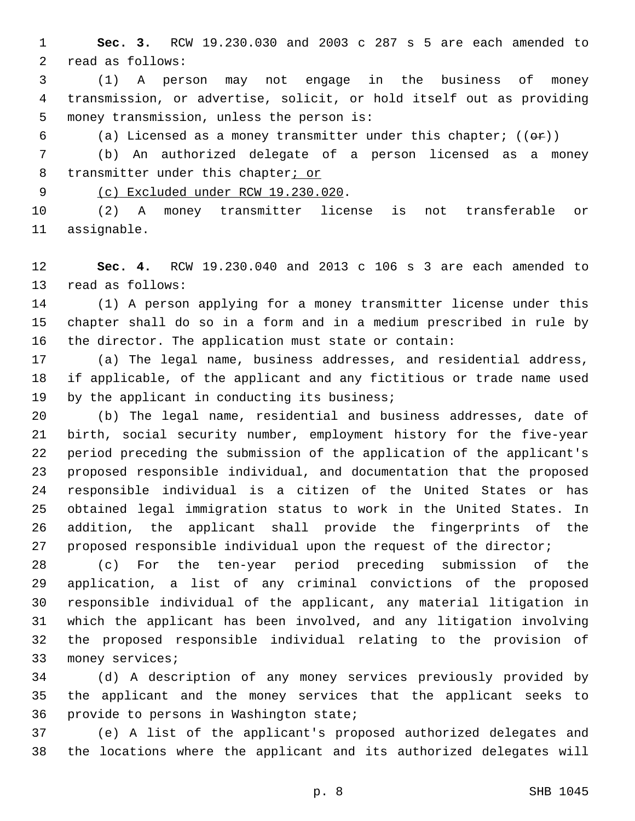**Sec. 3.** RCW 19.230.030 and 2003 c 287 s 5 are each amended to 2 read as follows:

 (1) A person may not engage in the business of money transmission, or advertise, solicit, or hold itself out as providing 5 money transmission, unless the person is:

6 (a) Licensed as a money transmitter under this chapter;  $((\theta \cdot \hat{r}))$ 

 (b) An authorized delegate of a person licensed as a money 8 transmitter under this chapter; or

9 (c) Excluded under RCW 19.230.020.

 (2) A money transmitter license is not transferable or 11 assignable.

 **Sec. 4.** RCW 19.230.040 and 2013 c 106 s 3 are each amended to 13 read as follows:

 (1) A person applying for a money transmitter license under this chapter shall do so in a form and in a medium prescribed in rule by the director. The application must state or contain:

 (a) The legal name, business addresses, and residential address, if applicable, of the applicant and any fictitious or trade name used 19 by the applicant in conducting its business;

 (b) The legal name, residential and business addresses, date of birth, social security number, employment history for the five-year period preceding the submission of the application of the applicant's proposed responsible individual, and documentation that the proposed responsible individual is a citizen of the United States or has obtained legal immigration status to work in the United States. In addition, the applicant shall provide the fingerprints of the 27 proposed responsible individual upon the request of the director;

 (c) For the ten-year period preceding submission of the application, a list of any criminal convictions of the proposed responsible individual of the applicant, any material litigation in which the applicant has been involved, and any litigation involving the proposed responsible individual relating to the provision of 33 money services;

 (d) A description of any money services previously provided by the applicant and the money services that the applicant seeks to 36 provide to persons in Washington state;

 (e) A list of the applicant's proposed authorized delegates and the locations where the applicant and its authorized delegates will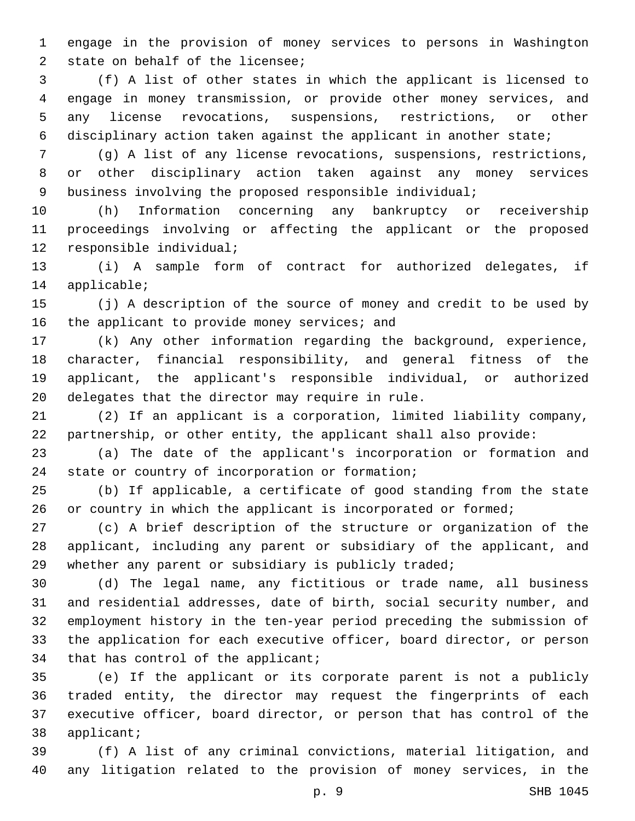engage in the provision of money services to persons in Washington 2 state on behalf of the licensee;

 (f) A list of other states in which the applicant is licensed to engage in money transmission, or provide other money services, and any license revocations, suspensions, restrictions, or other disciplinary action taken against the applicant in another state;

 (g) A list of any license revocations, suspensions, restrictions, or other disciplinary action taken against any money services business involving the proposed responsible individual;

 (h) Information concerning any bankruptcy or receivership proceedings involving or affecting the applicant or the proposed 12 responsible individual;

 (i) A sample form of contract for authorized delegates, if 14 applicable;

 (j) A description of the source of money and credit to be used by 16 the applicant to provide money services; and

 (k) Any other information regarding the background, experience, character, financial responsibility, and general fitness of the applicant, the applicant's responsible individual, or authorized 20 delegates that the director may require in rule.

 (2) If an applicant is a corporation, limited liability company, partnership, or other entity, the applicant shall also provide:

 (a) The date of the applicant's incorporation or formation and 24 state or country of incorporation or formation;

 (b) If applicable, a certificate of good standing from the state 26 or country in which the applicant is incorporated or formed;

 (c) A brief description of the structure or organization of the applicant, including any parent or subsidiary of the applicant, and 29 whether any parent or subsidiary is publicly traded;

 (d) The legal name, any fictitious or trade name, all business and residential addresses, date of birth, social security number, and employment history in the ten-year period preceding the submission of the application for each executive officer, board director, or person 34 that has control of the applicant;

 (e) If the applicant or its corporate parent is not a publicly traded entity, the director may request the fingerprints of each executive officer, board director, or person that has control of the 38 applicant;

 (f) A list of any criminal convictions, material litigation, and any litigation related to the provision of money services, in the

p. 9 SHB 1045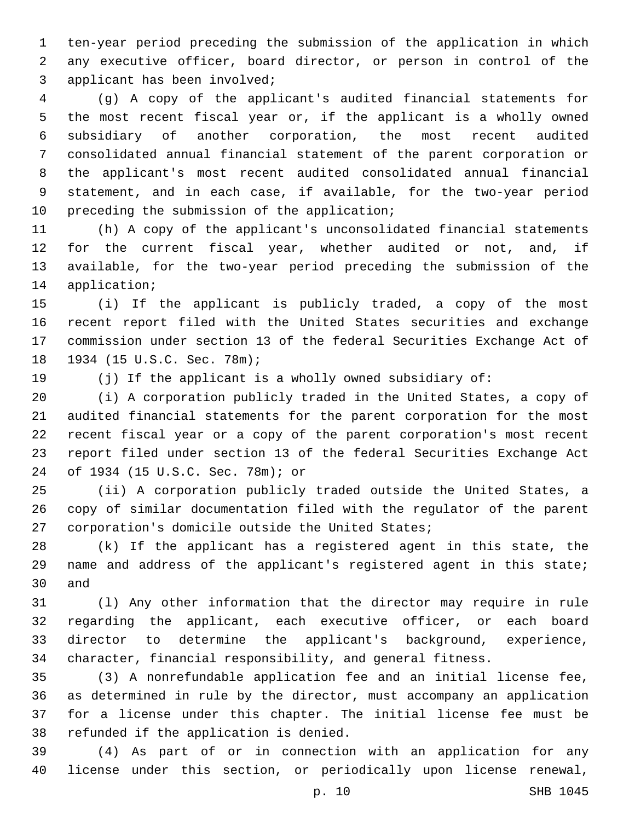ten-year period preceding the submission of the application in which any executive officer, board director, or person in control of the 3 applicant has been involved;

 (g) A copy of the applicant's audited financial statements for the most recent fiscal year or, if the applicant is a wholly owned subsidiary of another corporation, the most recent audited consolidated annual financial statement of the parent corporation or the applicant's most recent audited consolidated annual financial statement, and in each case, if available, for the two-year period 10 preceding the submission of the application;

 (h) A copy of the applicant's unconsolidated financial statements for the current fiscal year, whether audited or not, and, if available, for the two-year period preceding the submission of the 14 application;

 (i) If the applicant is publicly traded, a copy of the most recent report filed with the United States securities and exchange commission under section 13 of the federal Securities Exchange Act of 18 1934 (15 U.S.C. Sec. 78m);

(j) If the applicant is a wholly owned subsidiary of:

 (i) A corporation publicly traded in the United States, a copy of audited financial statements for the parent corporation for the most recent fiscal year or a copy of the parent corporation's most recent report filed under section 13 of the federal Securities Exchange Act of 1934 (15 U.S.C. Sec. 78m); or24

 (ii) A corporation publicly traded outside the United States, a copy of similar documentation filed with the regulator of the parent 27 corporation's domicile outside the United States;

 (k) If the applicant has a registered agent in this state, the name and address of the applicant's registered agent in this state; 30 and

 (l) Any other information that the director may require in rule regarding the applicant, each executive officer, or each board director to determine the applicant's background, experience, character, financial responsibility, and general fitness.

 (3) A nonrefundable application fee and an initial license fee, as determined in rule by the director, must accompany an application for a license under this chapter. The initial license fee must be 38 refunded if the application is denied.

 (4) As part of or in connection with an application for any license under this section, or periodically upon license renewal,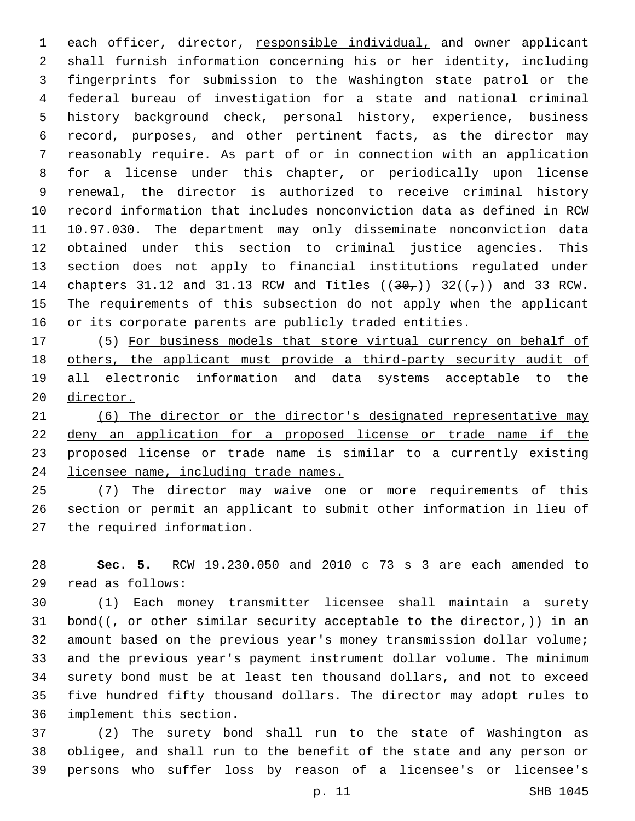each officer, director, responsible individual, and owner applicant shall furnish information concerning his or her identity, including fingerprints for submission to the Washington state patrol or the federal bureau of investigation for a state and national criminal history background check, personal history, experience, business record, purposes, and other pertinent facts, as the director may reasonably require. As part of or in connection with an application for a license under this chapter, or periodically upon license renewal, the director is authorized to receive criminal history record information that includes nonconviction data as defined in RCW 10.97.030. The department may only disseminate nonconviction data obtained under this section to criminal justice agencies. This section does not apply to financial institutions regulated under 14 chapters 31.12 and 31.13 RCW and Titles  $((30<sub>7</sub>))$  32( $(\frac{1}{7})$ ) and 33 RCW. The requirements of this subsection do not apply when the applicant or its corporate parents are publicly traded entities.

 (5) For business models that store virtual currency on behalf of others, the applicant must provide a third-party security audit of all electronic information and data systems acceptable to the director.

 (6) The director or the director's designated representative may deny an application for a proposed license or trade name if the proposed license or trade name is similar to a currently existing licensee name, including trade names.

25 (7) The director may waive one or more requirements of this section or permit an applicant to submit other information in lieu of 27 the required information.

 **Sec. 5.** RCW 19.230.050 and 2010 c 73 s 3 are each amended to read as follows:29

 (1) Each money transmitter licensee shall maintain a surety 31 bond( $(-$  or other similar security acceptable to the director,)) in an amount based on the previous year's money transmission dollar volume; and the previous year's payment instrument dollar volume. The minimum surety bond must be at least ten thousand dollars, and not to exceed five hundred fifty thousand dollars. The director may adopt rules to 36 implement this section.

 (2) The surety bond shall run to the state of Washington as obligee, and shall run to the benefit of the state and any person or persons who suffer loss by reason of a licensee's or licensee's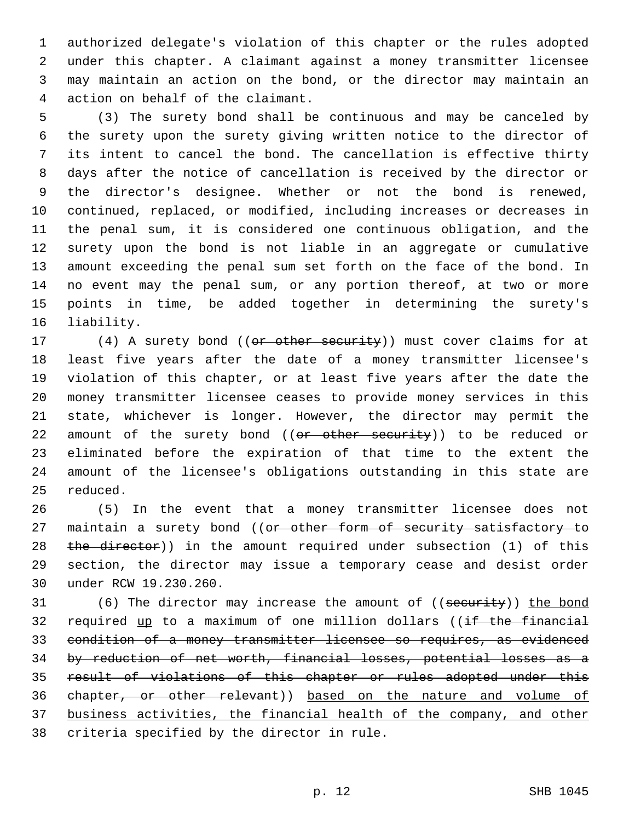authorized delegate's violation of this chapter or the rules adopted under this chapter. A claimant against a money transmitter licensee may maintain an action on the bond, or the director may maintain an 4 action on behalf of the claimant.

 (3) The surety bond shall be continuous and may be canceled by the surety upon the surety giving written notice to the director of its intent to cancel the bond. The cancellation is effective thirty days after the notice of cancellation is received by the director or the director's designee. Whether or not the bond is renewed, continued, replaced, or modified, including increases or decreases in the penal sum, it is considered one continuous obligation, and the surety upon the bond is not liable in an aggregate or cumulative amount exceeding the penal sum set forth on the face of the bond. In no event may the penal sum, or any portion thereof, at two or more points in time, be added together in determining the surety's 16 liability.

17 (4) A surety bond ((or other security)) must cover claims for at least five years after the date of a money transmitter licensee's violation of this chapter, or at least five years after the date the money transmitter licensee ceases to provide money services in this state, whichever is longer. However, the director may permit the 22 amount of the surety bond ((or other security)) to be reduced or eliminated before the expiration of that time to the extent the amount of the licensee's obligations outstanding in this state are 25 reduced.

 (5) In the event that a money transmitter licensee does not 27 maintain a surety bond ((or other form of security satisfactory to 28 the director)) in the amount required under subsection (1) of this section, the director may issue a temporary cease and desist order 30 under RCW 19.230.260.

31 (6) The director may increase the amount of ((security)) the bond 32 required up to a maximum of one million dollars ((if the financial condition of a money transmitter licensee so requires, as evidenced by reduction of net worth, financial losses, potential losses as a result of violations of this chapter or rules adopted under this chapter, or other relevant)) based on the nature and volume of business activities, the financial health of the company, and other 38 criteria specified by the director in rule.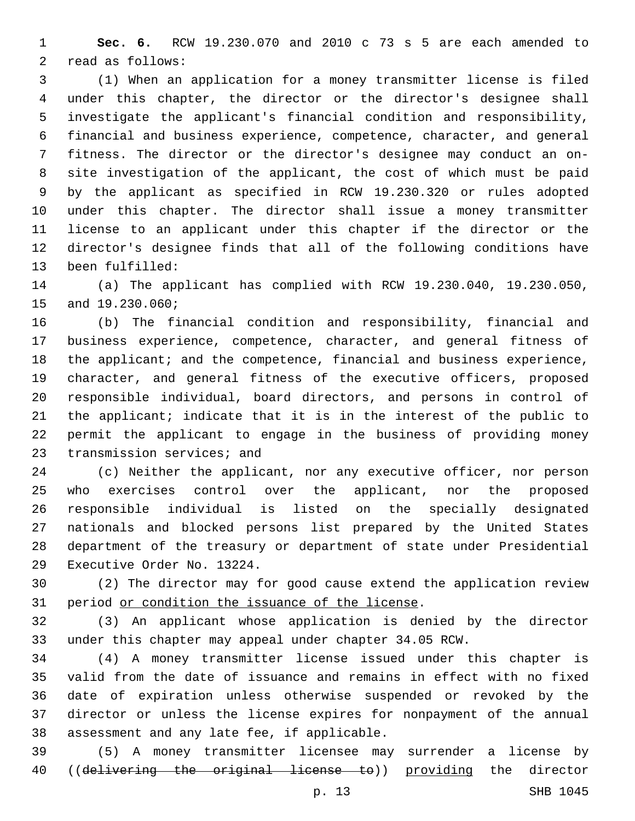**Sec. 6.** RCW 19.230.070 and 2010 c 73 s 5 are each amended to 2 read as follows:

 (1) When an application for a money transmitter license is filed under this chapter, the director or the director's designee shall investigate the applicant's financial condition and responsibility, financial and business experience, competence, character, and general fitness. The director or the director's designee may conduct an on- site investigation of the applicant, the cost of which must be paid by the applicant as specified in RCW 19.230.320 or rules adopted under this chapter. The director shall issue a money transmitter license to an applicant under this chapter if the director or the director's designee finds that all of the following conditions have 13 been fulfilled:

 (a) The applicant has complied with RCW 19.230.040, 19.230.050, 15 and 19.230.060;

 (b) The financial condition and responsibility, financial and business experience, competence, character, and general fitness of 18 the applicant; and the competence, financial and business experience, character, and general fitness of the executive officers, proposed responsible individual, board directors, and persons in control of the applicant; indicate that it is in the interest of the public to permit the applicant to engage in the business of providing money 23 transmission services; and

 (c) Neither the applicant, nor any executive officer, nor person who exercises control over the applicant, nor the proposed responsible individual is listed on the specially designated nationals and blocked persons list prepared by the United States department of the treasury or department of state under Presidential 29 Executive Order No. 13224.

 (2) The director may for good cause extend the application review 31 period or condition the issuance of the license.

 (3) An applicant whose application is denied by the director under this chapter may appeal under chapter 34.05 RCW.

 (4) A money transmitter license issued under this chapter is valid from the date of issuance and remains in effect with no fixed date of expiration unless otherwise suspended or revoked by the director or unless the license expires for nonpayment of the annual 38 assessment and any late fee, if applicable.

 (5) A money transmitter licensee may surrender a license by 40 ((delivering the original license to)) providing the director

p. 13 SHB 1045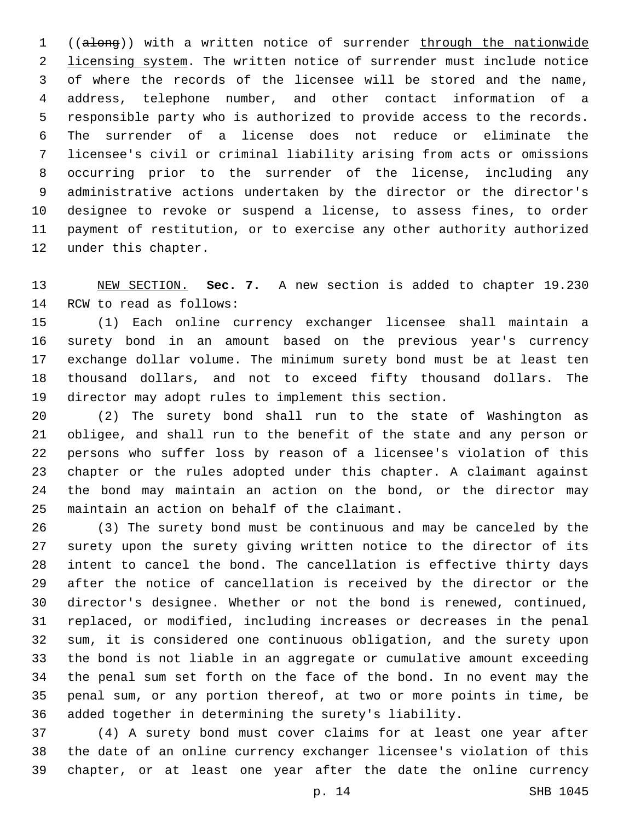((along)) with a written notice of surrender through the nationwide 2 licensing system. The written notice of surrender must include notice of where the records of the licensee will be stored and the name, address, telephone number, and other contact information of a responsible party who is authorized to provide access to the records. The surrender of a license does not reduce or eliminate the licensee's civil or criminal liability arising from acts or omissions occurring prior to the surrender of the license, including any administrative actions undertaken by the director or the director's designee to revoke or suspend a license, to assess fines, to order payment of restitution, or to exercise any other authority authorized 12 under this chapter.

 NEW SECTION. **Sec. 7.** A new section is added to chapter 19.230 14 RCW to read as follows:

 (1) Each online currency exchanger licensee shall maintain a surety bond in an amount based on the previous year's currency exchange dollar volume. The minimum surety bond must be at least ten thousand dollars, and not to exceed fifty thousand dollars. The director may adopt rules to implement this section.

 (2) The surety bond shall run to the state of Washington as obligee, and shall run to the benefit of the state and any person or persons who suffer loss by reason of a licensee's violation of this chapter or the rules adopted under this chapter. A claimant against the bond may maintain an action on the bond, or the director may 25 maintain an action on behalf of the claimant.

 (3) The surety bond must be continuous and may be canceled by the surety upon the surety giving written notice to the director of its intent to cancel the bond. The cancellation is effective thirty days after the notice of cancellation is received by the director or the director's designee. Whether or not the bond is renewed, continued, replaced, or modified, including increases or decreases in the penal sum, it is considered one continuous obligation, and the surety upon the bond is not liable in an aggregate or cumulative amount exceeding the penal sum set forth on the face of the bond. In no event may the penal sum, or any portion thereof, at two or more points in time, be added together in determining the surety's liability.

 (4) A surety bond must cover claims for at least one year after the date of an online currency exchanger licensee's violation of this chapter, or at least one year after the date the online currency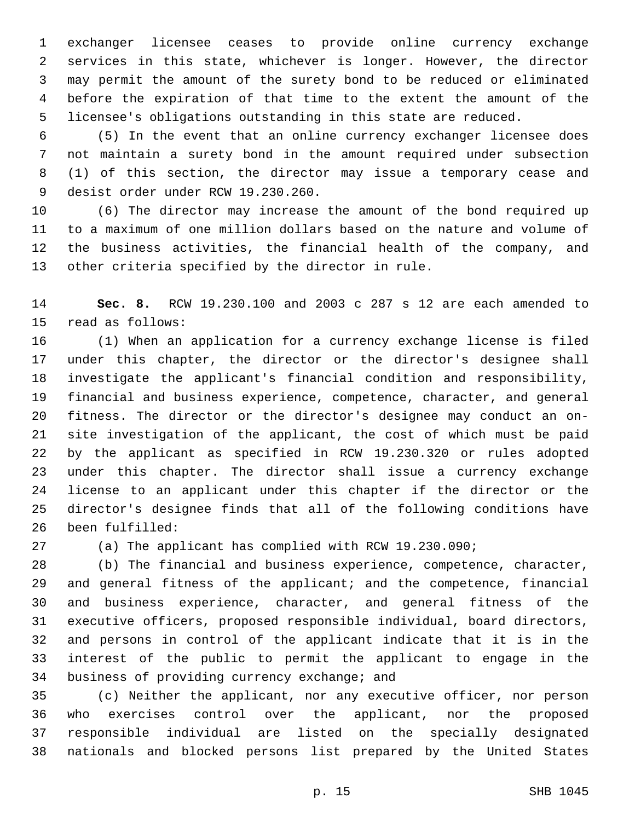exchanger licensee ceases to provide online currency exchange services in this state, whichever is longer. However, the director may permit the amount of the surety bond to be reduced or eliminated before the expiration of that time to the extent the amount of the licensee's obligations outstanding in this state are reduced.

 (5) In the event that an online currency exchanger licensee does not maintain a surety bond in the amount required under subsection (1) of this section, the director may issue a temporary cease and 9 desist order under RCW 19.230.260.

 (6) The director may increase the amount of the bond required up to a maximum of one million dollars based on the nature and volume of the business activities, the financial health of the company, and 13 other criteria specified by the director in rule.

 **Sec. 8.** RCW 19.230.100 and 2003 c 287 s 12 are each amended to 15 read as follows:

 (1) When an application for a currency exchange license is filed under this chapter, the director or the director's designee shall investigate the applicant's financial condition and responsibility, financial and business experience, competence, character, and general fitness. The director or the director's designee may conduct an on- site investigation of the applicant, the cost of which must be paid by the applicant as specified in RCW 19.230.320 or rules adopted under this chapter. The director shall issue a currency exchange license to an applicant under this chapter if the director or the director's designee finds that all of the following conditions have 26 been fulfilled:

(a) The applicant has complied with RCW 19.230.090;

 (b) The financial and business experience, competence, character, and general fitness of the applicant; and the competence, financial and business experience, character, and general fitness of the executive officers, proposed responsible individual, board directors, and persons in control of the applicant indicate that it is in the interest of the public to permit the applicant to engage in the 34 business of providing currency exchange; and

 (c) Neither the applicant, nor any executive officer, nor person who exercises control over the applicant, nor the proposed responsible individual are listed on the specially designated nationals and blocked persons list prepared by the United States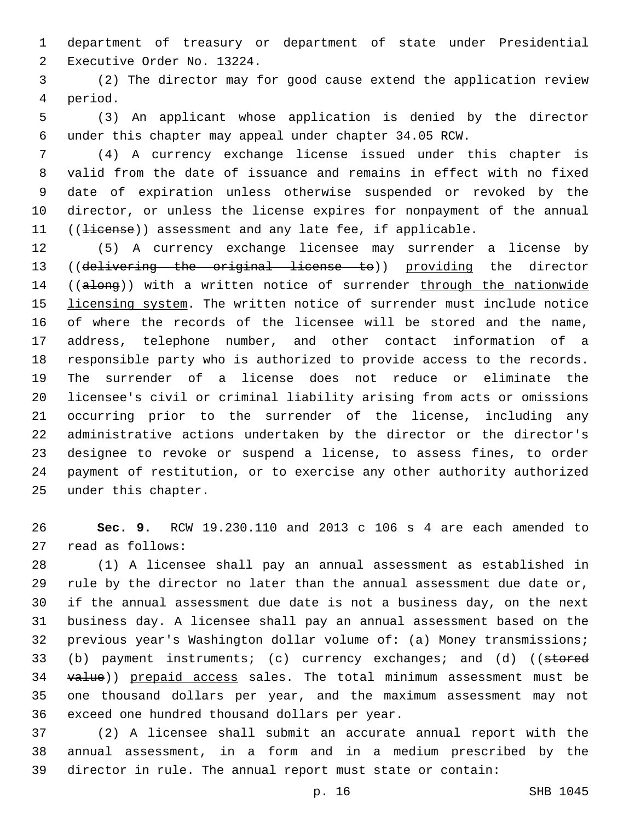department of treasury or department of state under Presidential 2 Executive Order No. 13224.

 (2) The director may for good cause extend the application review 4 period.

 (3) An applicant whose application is denied by the director under this chapter may appeal under chapter 34.05 RCW.

 (4) A currency exchange license issued under this chapter is valid from the date of issuance and remains in effect with no fixed date of expiration unless otherwise suspended or revoked by the director, or unless the license expires for nonpayment of the annual 11 ((Hicense)) assessment and any late fee, if applicable.

 (5) A currency exchange licensee may surrender a license by ((delivering the original license to)) providing the director 14 ((along)) with a written notice of surrender through the nationwide licensing system. The written notice of surrender must include notice of where the records of the licensee will be stored and the name, address, telephone number, and other contact information of a responsible party who is authorized to provide access to the records. The surrender of a license does not reduce or eliminate the licensee's civil or criminal liability arising from acts or omissions occurring prior to the surrender of the license, including any administrative actions undertaken by the director or the director's designee to revoke or suspend a license, to assess fines, to order payment of restitution, or to exercise any other authority authorized 25 under this chapter.

 **Sec. 9.** RCW 19.230.110 and 2013 c 106 s 4 are each amended to 27 read as follows:

 (1) A licensee shall pay an annual assessment as established in rule by the director no later than the annual assessment due date or, if the annual assessment due date is not a business day, on the next business day. A licensee shall pay an annual assessment based on the previous year's Washington dollar volume of: (a) Money transmissions; 33 (b) payment instruments; (c) currency exchanges; and (d) ((stored 34 value)) prepaid access sales. The total minimum assessment must be one thousand dollars per year, and the maximum assessment may not 36 exceed one hundred thousand dollars per year.

 (2) A licensee shall submit an accurate annual report with the annual assessment, in a form and in a medium prescribed by the director in rule. The annual report must state or contain: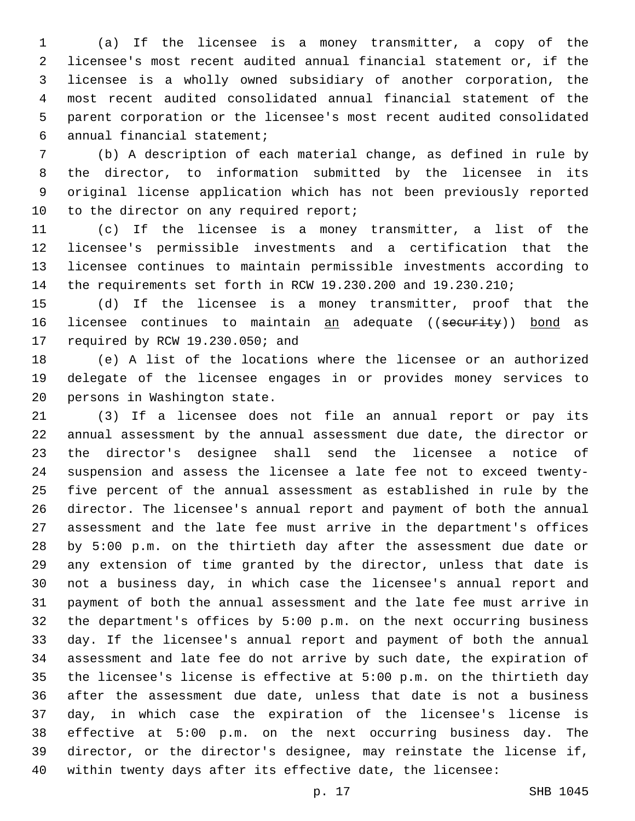(a) If the licensee is a money transmitter, a copy of the licensee's most recent audited annual financial statement or, if the licensee is a wholly owned subsidiary of another corporation, the most recent audited consolidated annual financial statement of the parent corporation or the licensee's most recent audited consolidated annual financial statement;6

 (b) A description of each material change, as defined in rule by the director, to information submitted by the licensee in its original license application which has not been previously reported 10 to the director on any required report;

 (c) If the licensee is a money transmitter, a list of the licensee's permissible investments and a certification that the licensee continues to maintain permissible investments according to the requirements set forth in RCW 19.230.200 and 19.230.210;

 (d) If the licensee is a money transmitter, proof that the 16 licensee continues to maintain an adequate ((security)) bond as 17 required by RCW 19.230.050; and

 (e) A list of the locations where the licensee or an authorized delegate of the licensee engages in or provides money services to 20 persons in Washington state.

 (3) If a licensee does not file an annual report or pay its annual assessment by the annual assessment due date, the director or the director's designee shall send the licensee a notice of suspension and assess the licensee a late fee not to exceed twenty- five percent of the annual assessment as established in rule by the director. The licensee's annual report and payment of both the annual assessment and the late fee must arrive in the department's offices by 5:00 p.m. on the thirtieth day after the assessment due date or any extension of time granted by the director, unless that date is not a business day, in which case the licensee's annual report and payment of both the annual assessment and the late fee must arrive in the department's offices by 5:00 p.m. on the next occurring business day. If the licensee's annual report and payment of both the annual assessment and late fee do not arrive by such date, the expiration of the licensee's license is effective at 5:00 p.m. on the thirtieth day after the assessment due date, unless that date is not a business day, in which case the expiration of the licensee's license is effective at 5:00 p.m. on the next occurring business day. The director, or the director's designee, may reinstate the license if, within twenty days after its effective date, the licensee:

p. 17 SHB 1045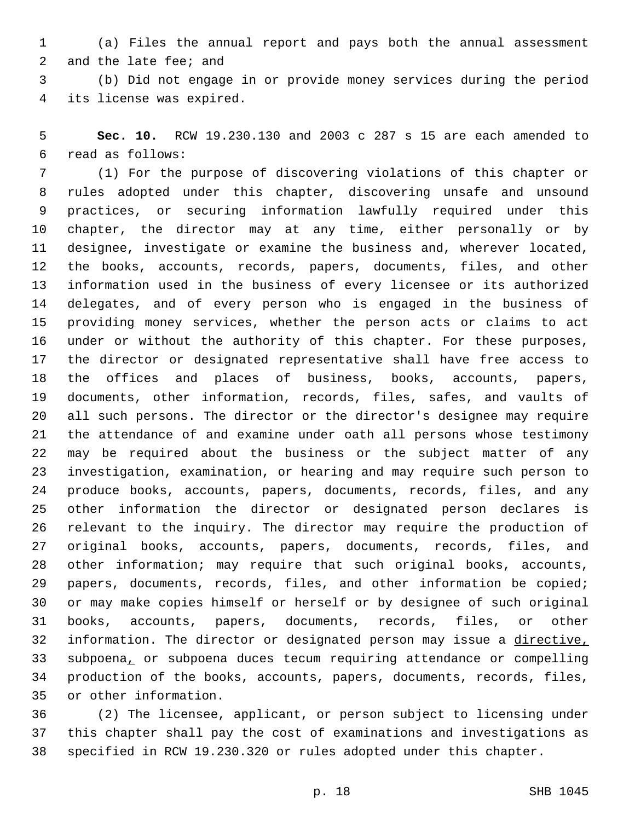(a) Files the annual report and pays both the annual assessment 2 and the late fee; and

 (b) Did not engage in or provide money services during the period 4 its license was expired.

 **Sec. 10.** RCW 19.230.130 and 2003 c 287 s 15 are each amended to read as follows:6

 (1) For the purpose of discovering violations of this chapter or rules adopted under this chapter, discovering unsafe and unsound practices, or securing information lawfully required under this chapter, the director may at any time, either personally or by designee, investigate or examine the business and, wherever located, the books, accounts, records, papers, documents, files, and other information used in the business of every licensee or its authorized delegates, and of every person who is engaged in the business of providing money services, whether the person acts or claims to act under or without the authority of this chapter. For these purposes, the director or designated representative shall have free access to the offices and places of business, books, accounts, papers, documents, other information, records, files, safes, and vaults of all such persons. The director or the director's designee may require the attendance of and examine under oath all persons whose testimony may be required about the business or the subject matter of any investigation, examination, or hearing and may require such person to produce books, accounts, papers, documents, records, files, and any other information the director or designated person declares is relevant to the inquiry. The director may require the production of original books, accounts, papers, documents, records, files, and other information; may require that such original books, accounts, papers, documents, records, files, and other information be copied; or may make copies himself or herself or by designee of such original books, accounts, papers, documents, records, files, or other information. The director or designated person may issue a directive, subpoena, or subpoena duces tecum requiring attendance or compelling production of the books, accounts, papers, documents, records, files, 35 or other information.

 (2) The licensee, applicant, or person subject to licensing under this chapter shall pay the cost of examinations and investigations as specified in RCW 19.230.320 or rules adopted under this chapter.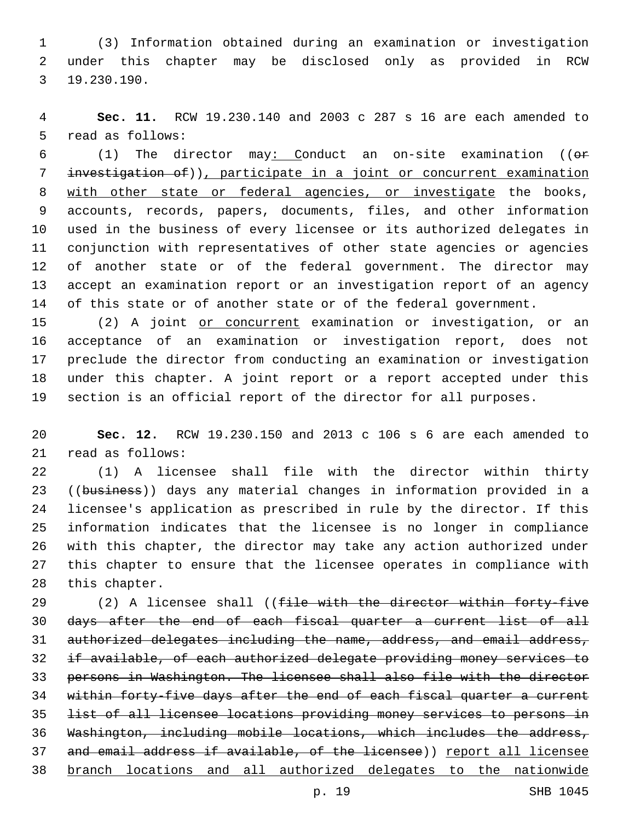(3) Information obtained during an examination or investigation under this chapter may be disclosed only as provided in RCW 19.230.190.3

 **Sec. 11.** RCW 19.230.140 and 2003 c 287 s 16 are each amended to 5 read as follows:

 (1) The director may: Conduct an on-site examination ((or investigation of)), participate in a joint or concurrent examination with other state or federal agencies, or investigate the books, accounts, records, papers, documents, files, and other information used in the business of every licensee or its authorized delegates in conjunction with representatives of other state agencies or agencies of another state or of the federal government. The director may accept an examination report or an investigation report of an agency of this state or of another state or of the federal government.

15 (2) A joint or concurrent examination or investigation, or an acceptance of an examination or investigation report, does not preclude the director from conducting an examination or investigation under this chapter. A joint report or a report accepted under this section is an official report of the director for all purposes.

 **Sec. 12.** RCW 19.230.150 and 2013 c 106 s 6 are each amended to 21 read as follows:

 (1) A licensee shall file with the director within thirty 23 ((business)) days any material changes in information provided in a licensee's application as prescribed in rule by the director. If this information indicates that the licensee is no longer in compliance with this chapter, the director may take any action authorized under this chapter to ensure that the licensee operates in compliance with 28 this chapter.

29 (2) A licensee shall ((file with the director within forty-five days after the end of each fiscal quarter a current list of all authorized delegates including the name, address, and email address, if available, of each authorized delegate providing money services to persons in Washington. The licensee shall also file with the director 34 within forty-five days after the end of each fiscal quarter a current list of all licensee locations providing money services to persons in Washington, including mobile locations, which includes the address, 37 and email address if available, of the licensee)) report all licensee branch locations and all authorized delegates to the nationwide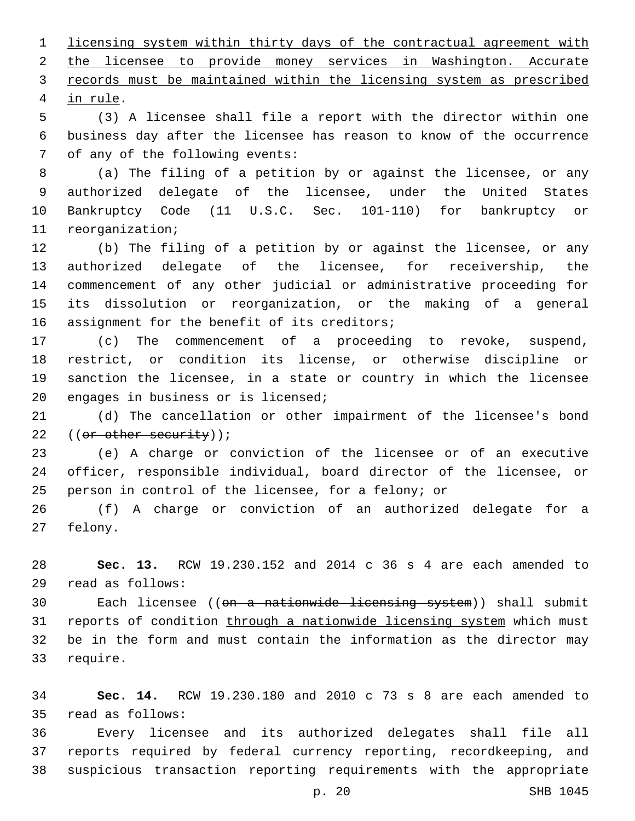licensing system within thirty days of the contractual agreement with the licensee to provide money services in Washington. Accurate records must be maintained within the licensing system as prescribed 4 in rule.

 (3) A licensee shall file a report with the director within one business day after the licensee has reason to know of the occurrence 7 of any of the following events:

 (a) The filing of a petition by or against the licensee, or any authorized delegate of the licensee, under the United States Bankruptcy Code (11 U.S.C. Sec. 101-110) for bankruptcy or 11 reorganization;

 (b) The filing of a petition by or against the licensee, or any authorized delegate of the licensee, for receivership, the commencement of any other judicial or administrative proceeding for its dissolution or reorganization, or the making of a general 16 assignment for the benefit of its creditors;

 (c) The commencement of a proceeding to revoke, suspend, restrict, or condition its license, or otherwise discipline or sanction the licensee, in a state or country in which the licensee 20 engages in business or is licensed;

 (d) The cancellation or other impairment of the licensee's bond 22 ((or other security));

 (e) A charge or conviction of the licensee or of an executive officer, responsible individual, board director of the licensee, or person in control of the licensee, for a felony; or

 (f) A charge or conviction of an authorized delegate for a 27 felony.

 **Sec. 13.** RCW 19.230.152 and 2014 c 36 s 4 are each amended to read as follows:29

30 Each licensee ((<del>on a nationwide licensing system</del>)) shall submit 31 reports of condition through a nationwide licensing system which must be in the form and must contain the information as the director may 33 require.

 **Sec. 14.** RCW 19.230.180 and 2010 c 73 s 8 are each amended to read as follows:35

 Every licensee and its authorized delegates shall file all reports required by federal currency reporting, recordkeeping, and suspicious transaction reporting requirements with the appropriate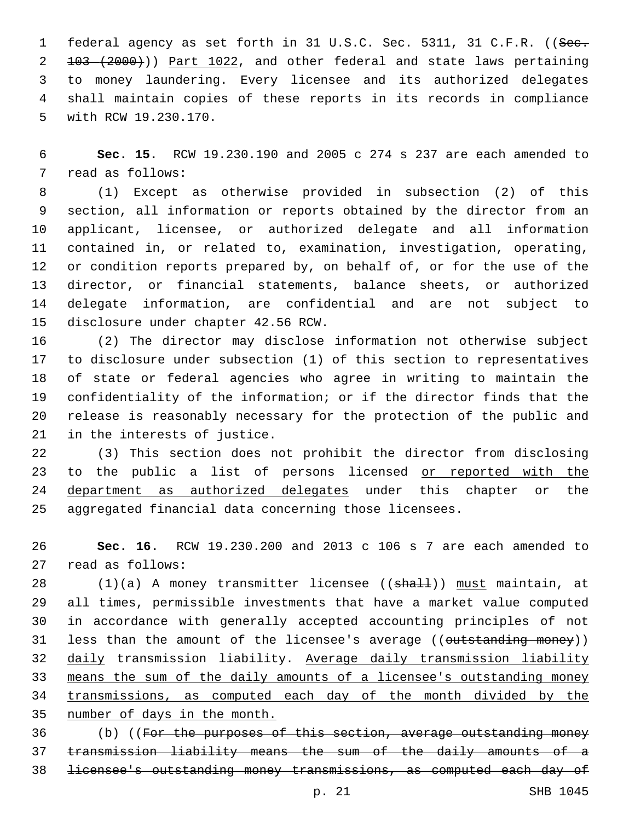1 federal agency as set forth in 31 U.S.C. Sec. 5311, 31 C.F.R. ((See. 103 (2000))) Part 1022, and other federal and state laws pertaining to money laundering. Every licensee and its authorized delegates shall maintain copies of these reports in its records in compliance 5 with RCW 19.230.170.

 **Sec. 15.** RCW 19.230.190 and 2005 c 274 s 237 are each amended to 7 read as follows:

 (1) Except as otherwise provided in subsection (2) of this section, all information or reports obtained by the director from an applicant, licensee, or authorized delegate and all information contained in, or related to, examination, investigation, operating, or condition reports prepared by, on behalf of, or for the use of the director, or financial statements, balance sheets, or authorized delegate information, are confidential and are not subject to 15 disclosure under chapter 42.56 RCW.

 (2) The director may disclose information not otherwise subject to disclosure under subsection (1) of this section to representatives of state or federal agencies who agree in writing to maintain the confidentiality of the information; or if the director finds that the release is reasonably necessary for the protection of the public and 21 in the interests of justice.

 (3) This section does not prohibit the director from disclosing 23 to the public a list of persons licensed or reported with the 24 department as authorized delegates under this chapter or the aggregated financial data concerning those licensees.

 **Sec. 16.** RCW 19.230.200 and 2013 c 106 s 7 are each amended to 27 read as follows:

28 (1)(a) A money transmitter licensee ((shall)) must maintain, at all times, permissible investments that have a market value computed in accordance with generally accepted accounting principles of not 31 less than the amount of the licensee's average ((outstanding money)) daily transmission liability. Average daily transmission liability means the sum of the daily amounts of a licensee's outstanding money 34 transmissions, as computed each day of the month divided by the number of days in the month.

 (b) ((For the purposes of this section, average outstanding money transmission liability means the sum of the daily amounts of a licensee's outstanding money transmissions, as computed each day of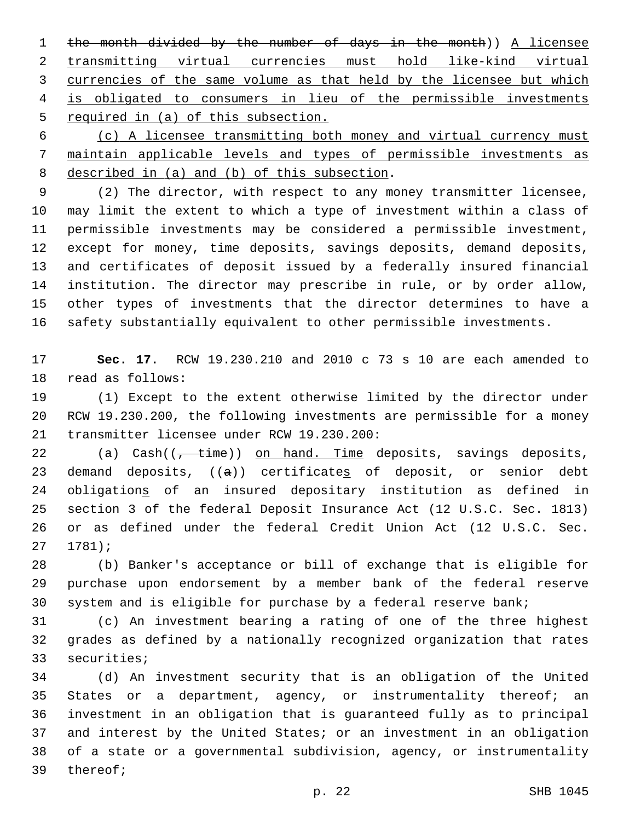the month divided by the number of days in the month)) A licensee transmitting virtual currencies must hold like-kind virtual currencies of the same volume as that held by the licensee but which is obligated to consumers in lieu of the permissible investments required in (a) of this subsection.

 (c) A licensee transmitting both money and virtual currency must maintain applicable levels and types of permissible investments as 8 described in (a) and (b) of this subsection.

 (2) The director, with respect to any money transmitter licensee, may limit the extent to which a type of investment within a class of permissible investments may be considered a permissible investment, except for money, time deposits, savings deposits, demand deposits, and certificates of deposit issued by a federally insured financial institution. The director may prescribe in rule, or by order allow, other types of investments that the director determines to have a safety substantially equivalent to other permissible investments.

 **Sec. 17.** RCW 19.230.210 and 2010 c 73 s 10 are each amended to 18 read as follows:

 (1) Except to the extent otherwise limited by the director under RCW 19.230.200, the following investments are permissible for a money 21 transmitter licensee under RCW 19.230.200:

22 (a) Cash((<del>, time</del>)) on hand. Time deposits, savings deposits, 23 demand deposits,  $((a))$  certificates of deposit, or senior debt obligations of an insured depositary institution as defined in section 3 of the federal Deposit Insurance Act (12 U.S.C. Sec. 1813) or as defined under the federal Credit Union Act (12 U.S.C. Sec.  $27 1781$ ;

 (b) Banker's acceptance or bill of exchange that is eligible for purchase upon endorsement by a member bank of the federal reserve system and is eligible for purchase by a federal reserve bank;

 (c) An investment bearing a rating of one of the three highest grades as defined by a nationally recognized organization that rates 33 securities;

 (d) An investment security that is an obligation of the United 35 States or a department, agency, or instrumentality thereof; an investment in an obligation that is guaranteed fully as to principal and interest by the United States; or an investment in an obligation of a state or a governmental subdivision, agency, or instrumentality 39 thereof;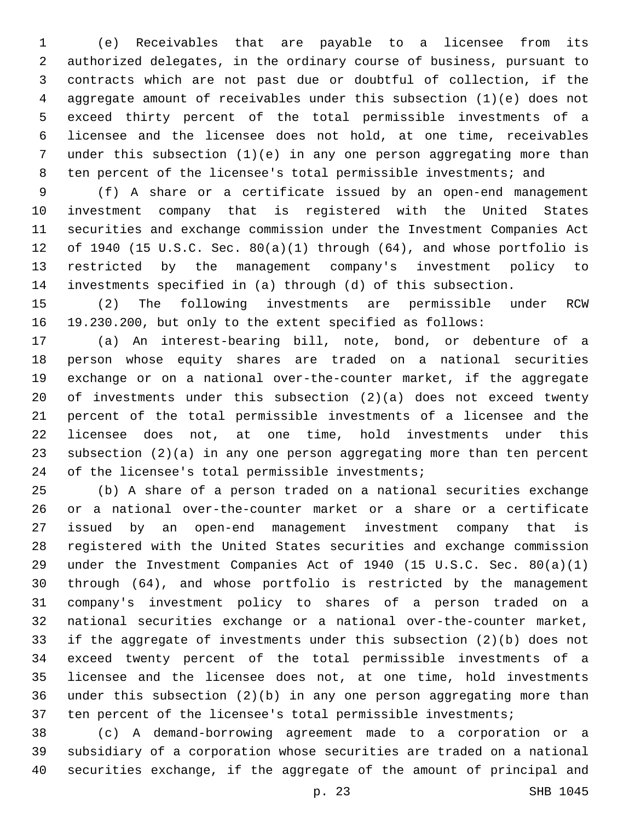(e) Receivables that are payable to a licensee from its authorized delegates, in the ordinary course of business, pursuant to contracts which are not past due or doubtful of collection, if the aggregate amount of receivables under this subsection (1)(e) does not exceed thirty percent of the total permissible investments of a licensee and the licensee does not hold, at one time, receivables under this subsection (1)(e) in any one person aggregating more than ten percent of the licensee's total permissible investments; and

 (f) A share or a certificate issued by an open-end management investment company that is registered with the United States securities and exchange commission under the Investment Companies Act of 1940 (15 U.S.C. Sec. 80(a)(1) through (64), and whose portfolio is restricted by the management company's investment policy to investments specified in (a) through (d) of this subsection.

 (2) The following investments are permissible under RCW 19.230.200, but only to the extent specified as follows:

 (a) An interest-bearing bill, note, bond, or debenture of a person whose equity shares are traded on a national securities exchange or on a national over-the-counter market, if the aggregate of investments under this subsection (2)(a) does not exceed twenty percent of the total permissible investments of a licensee and the licensee does not, at one time, hold investments under this subsection (2)(a) in any one person aggregating more than ten percent 24 of the licensee's total permissible investments;

 (b) A share of a person traded on a national securities exchange or a national over-the-counter market or a share or a certificate issued by an open-end management investment company that is registered with the United States securities and exchange commission under the Investment Companies Act of 1940 (15 U.S.C. Sec. 80(a)(1) through (64), and whose portfolio is restricted by the management company's investment policy to shares of a person traded on a national securities exchange or a national over-the-counter market, if the aggregate of investments under this subsection (2)(b) does not exceed twenty percent of the total permissible investments of a licensee and the licensee does not, at one time, hold investments under this subsection (2)(b) in any one person aggregating more than ten percent of the licensee's total permissible investments;

 (c) A demand-borrowing agreement made to a corporation or a subsidiary of a corporation whose securities are traded on a national securities exchange, if the aggregate of the amount of principal and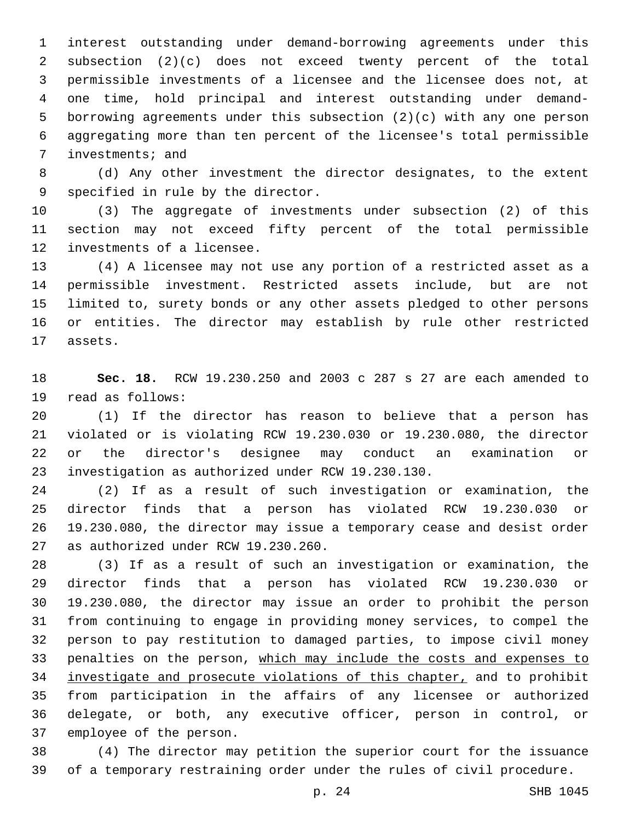interest outstanding under demand-borrowing agreements under this subsection (2)(c) does not exceed twenty percent of the total permissible investments of a licensee and the licensee does not, at one time, hold principal and interest outstanding under demand- borrowing agreements under this subsection (2)(c) with any one person aggregating more than ten percent of the licensee's total permissible 7 investments; and

 (d) Any other investment the director designates, to the extent 9 specified in rule by the director.

 (3) The aggregate of investments under subsection (2) of this section may not exceed fifty percent of the total permissible 12 investments of a licensee.

 (4) A licensee may not use any portion of a restricted asset as a permissible investment. Restricted assets include, but are not limited to, surety bonds or any other assets pledged to other persons or entities. The director may establish by rule other restricted 17 assets.

 **Sec. 18.** RCW 19.230.250 and 2003 c 287 s 27 are each amended to 19 read as follows:

 (1) If the director has reason to believe that a person has violated or is violating RCW 19.230.030 or 19.230.080, the director or the director's designee may conduct an examination or investigation as authorized under RCW 19.230.130.23

 (2) If as a result of such investigation or examination, the director finds that a person has violated RCW 19.230.030 or 19.230.080, the director may issue a temporary cease and desist order 27 as authorized under RCW 19.230.260.

 (3) If as a result of such an investigation or examination, the director finds that a person has violated RCW 19.230.030 or 19.230.080, the director may issue an order to prohibit the person from continuing to engage in providing money services, to compel the person to pay restitution to damaged parties, to impose civil money penalties on the person, which may include the costs and expenses to investigate and prosecute violations of this chapter, and to prohibit from participation in the affairs of any licensee or authorized delegate, or both, any executive officer, person in control, or 37 employee of the person.

 (4) The director may petition the superior court for the issuance of a temporary restraining order under the rules of civil procedure.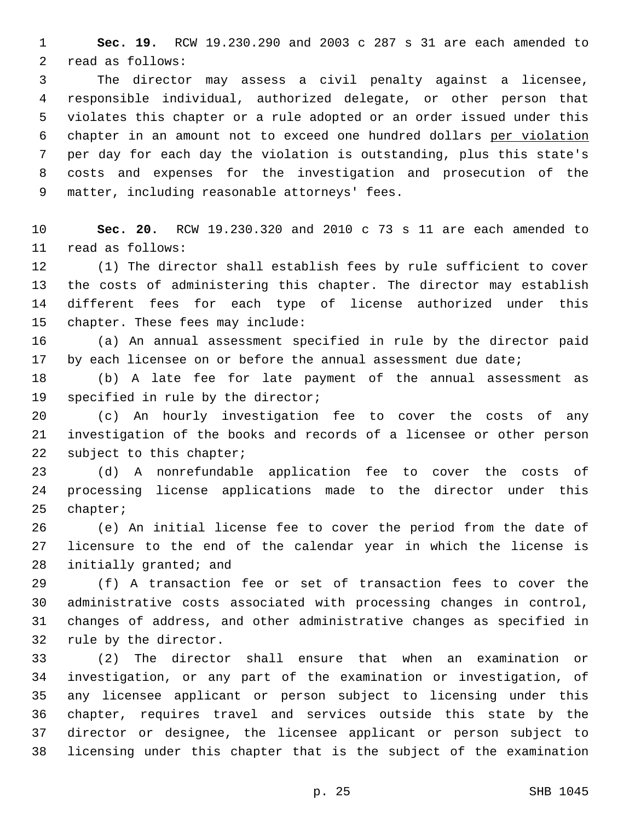**Sec. 19.** RCW 19.230.290 and 2003 c 287 s 31 are each amended to 2 read as follows:

 The director may assess a civil penalty against a licensee, responsible individual, authorized delegate, or other person that violates this chapter or a rule adopted or an order issued under this chapter in an amount not to exceed one hundred dollars per violation per day for each day the violation is outstanding, plus this state's costs and expenses for the investigation and prosecution of the 9 matter, including reasonable attorneys' fees.

 **Sec. 20.** RCW 19.230.320 and 2010 c 73 s 11 are each amended to read as follows:11

 (1) The director shall establish fees by rule sufficient to cover the costs of administering this chapter. The director may establish different fees for each type of license authorized under this 15 chapter. These fees may include:

 (a) An annual assessment specified in rule by the director paid 17 by each licensee on or before the annual assessment due date;

 (b) A late fee for late payment of the annual assessment as 19 specified in rule by the director;

 (c) An hourly investigation fee to cover the costs of any investigation of the books and records of a licensee or other person 22 subject to this chapter;

 (d) A nonrefundable application fee to cover the costs of processing license applications made to the director under this 25 chapter;

 (e) An initial license fee to cover the period from the date of licensure to the end of the calendar year in which the license is 28 initially granted; and

 (f) A transaction fee or set of transaction fees to cover the administrative costs associated with processing changes in control, changes of address, and other administrative changes as specified in 32 rule by the director.

 (2) The director shall ensure that when an examination or investigation, or any part of the examination or investigation, of any licensee applicant or person subject to licensing under this chapter, requires travel and services outside this state by the director or designee, the licensee applicant or person subject to licensing under this chapter that is the subject of the examination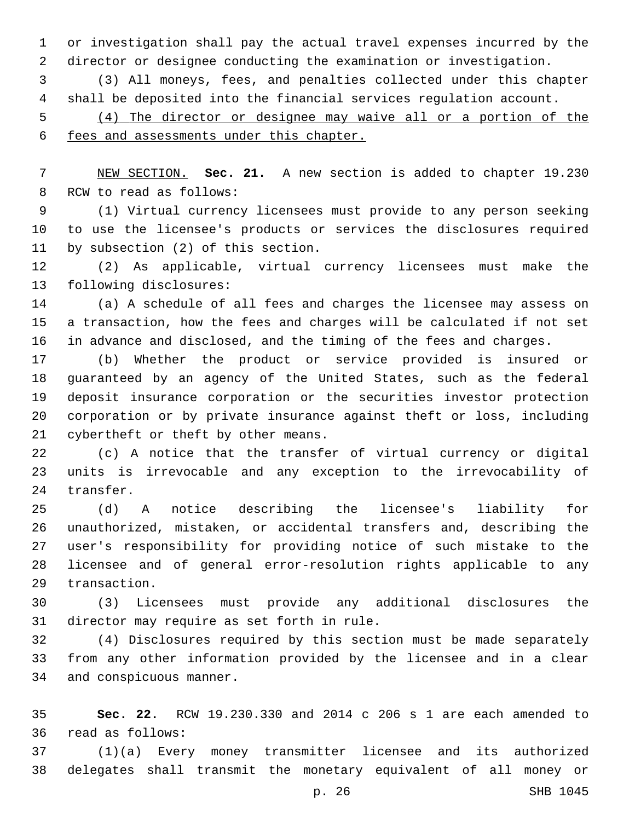or investigation shall pay the actual travel expenses incurred by the director or designee conducting the examination or investigation.

 (3) All moneys, fees, and penalties collected under this chapter shall be deposited into the financial services regulation account.

 (4) The director or designee may waive all or a portion of the fees and assessments under this chapter.

 NEW SECTION. **Sec. 21.** A new section is added to chapter 19.230 8 RCW to read as follows:

 (1) Virtual currency licensees must provide to any person seeking to use the licensee's products or services the disclosures required 11 by subsection (2) of this section.

 (2) As applicable, virtual currency licensees must make the 13 following disclosures:

 (a) A schedule of all fees and charges the licensee may assess on a transaction, how the fees and charges will be calculated if not set in advance and disclosed, and the timing of the fees and charges.

 (b) Whether the product or service provided is insured or guaranteed by an agency of the United States, such as the federal deposit insurance corporation or the securities investor protection corporation or by private insurance against theft or loss, including 21 cybertheft or theft by other means.

 (c) A notice that the transfer of virtual currency or digital units is irrevocable and any exception to the irrevocability of 24 transfer.

 (d) A notice describing the licensee's liability for unauthorized, mistaken, or accidental transfers and, describing the user's responsibility for providing notice of such mistake to the licensee and of general error-resolution rights applicable to any 29 transaction.

 (3) Licensees must provide any additional disclosures the 31 director may require as set forth in rule.

 (4) Disclosures required by this section must be made separately from any other information provided by the licensee and in a clear 34 and conspicuous manner.

 **Sec. 22.** RCW 19.230.330 and 2014 c 206 s 1 are each amended to read as follows:36

 (1)(a) Every money transmitter licensee and its authorized delegates shall transmit the monetary equivalent of all money or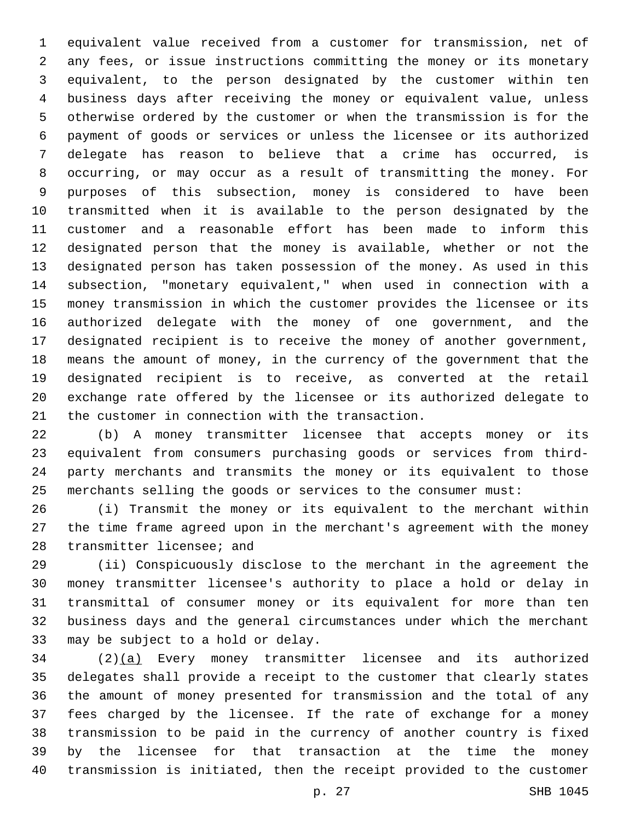equivalent value received from a customer for transmission, net of any fees, or issue instructions committing the money or its monetary equivalent, to the person designated by the customer within ten business days after receiving the money or equivalent value, unless otherwise ordered by the customer or when the transmission is for the payment of goods or services or unless the licensee or its authorized delegate has reason to believe that a crime has occurred, is occurring, or may occur as a result of transmitting the money. For purposes of this subsection, money is considered to have been transmitted when it is available to the person designated by the customer and a reasonable effort has been made to inform this designated person that the money is available, whether or not the designated person has taken possession of the money. As used in this subsection, "monetary equivalent," when used in connection with a money transmission in which the customer provides the licensee or its authorized delegate with the money of one government, and the designated recipient is to receive the money of another government, means the amount of money, in the currency of the government that the designated recipient is to receive, as converted at the retail exchange rate offered by the licensee or its authorized delegate to 21 the customer in connection with the transaction.

 (b) A money transmitter licensee that accepts money or its equivalent from consumers purchasing goods or services from third- party merchants and transmits the money or its equivalent to those merchants selling the goods or services to the consumer must:

 (i) Transmit the money or its equivalent to the merchant within the time frame agreed upon in the merchant's agreement with the money 28 transmitter licensee; and

 (ii) Conspicuously disclose to the merchant in the agreement the money transmitter licensee's authority to place a hold or delay in transmittal of consumer money or its equivalent for more than ten business days and the general circumstances under which the merchant 33 may be subject to a hold or delay.

 (2)(a) Every money transmitter licensee and its authorized delegates shall provide a receipt to the customer that clearly states the amount of money presented for transmission and the total of any fees charged by the licensee. If the rate of exchange for a money transmission to be paid in the currency of another country is fixed by the licensee for that transaction at the time the money transmission is initiated, then the receipt provided to the customer

p. 27 SHB 1045